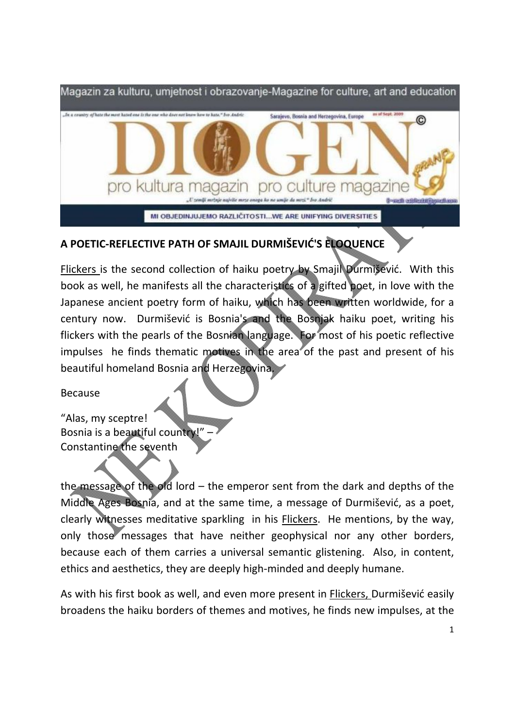

## **A POETIC‐REFLECTIVE PATH OF SMAJIL DURMIŠEVIĆ'S ELOQUENCE**

Flickers is the second collection of haiku poetry by Smajil Durmišević. With this book as well, he manifests all the characteristics of a gifted poet, in love with the Japanese ancient poetry form of haiku, which has been written worldwide, for a century now. Durmišević is Bosnia's and the Bosniak haiku poet, writing his flickers with the pearls of the Bosnian language. For most of his poetic reflective impulses he finds thematic motives in the area of the past and present of his beautiful homeland Bosnia and Herzegovina.

Because

"Alas, my sceptre! Bosnia is a beautiful country!" – Constantine the seventh

the message of the old lord  $-$  the emperor sent from the dark and depths of the Middle Ages Bosnia, and at the same time, a message of Durmišević, as a poet, clearly witnesses meditative sparkling in his **Flickers.** He mentions, by the way, only those messages that have neither geophysical nor any other borders, because each of them carries a universal semantic glistening. Also, in content, ethics and aesthetics, they are deeply high‐minded and deeply humane.

As with his first book as well, and even more present in Flickers, Durmišević easily broadens the haiku borders of themes and motives, he finds new impulses, at the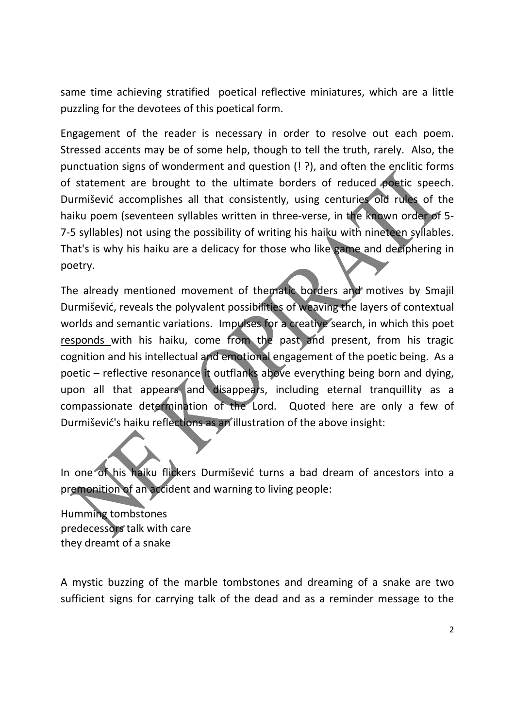same time achieving stratified poetical reflective miniatures, which are a little puzzling for the devotees of this poetical form.

Engagement of the reader is necessary in order to resolve out each poem. Stressed accents may be of some help, though to tell the truth, rarely. Also, the punctuation signs of wonderment and question (! ?), and often the enclitic forms of statement are brought to the ultimate borders of reduced poetic speech. Durmišević accomplishes all that consistently, using centuries old rules of the haiku poem (seventeen syllables written in three-verse, in the known order of 5-7‐5 syllables) not using the possibility of writing his haiku with nineteen syllables. That's is why his haiku are a delicacy for those who like game and deciphering in poetry.

The already mentioned movement of thematic borders and motives by Smajil Durmišević, reveals the polyvalent possibilities of weaving the layers of contextual worlds and semantic variations. Impulses for a creative search, in which this poet responds with his haiku, come from the past and present, from his tragic cognition and his intellectual and emotional engagement of the poetic being. As a poetic – reflective resonance it outflanks above everything being born and dying, upon all that appears and disappears, including eternal tranquillity as a compassionate determination of the Lord. Quoted here are only a few of Durmišević's haiku reflections as an illustration of the above insight:

In one of his haiku flickers Durmišević turns a bad dream of ancestors into a premonition of an accident and warning to living people:

Humming tombstones predecessors talk with care they dreamt of a snake

A mystic buzzing of the marble tombstones and dreaming of a snake are two sufficient signs for carrying talk of the dead and as a reminder message to the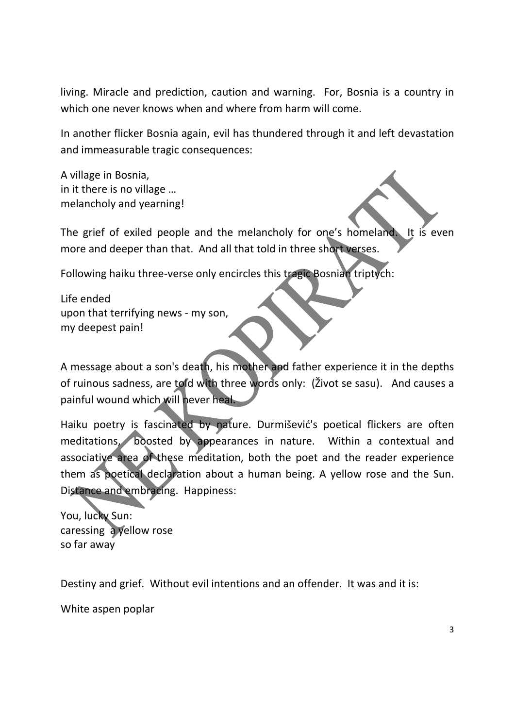living. Miracle and prediction, caution and warning. For, Bosnia is a country in which one never knows when and where from harm will come.

In another flicker Bosnia again, evil has thundered through it and left devastation and immeasurable tragic consequences:

A village in Bosnia, in it there is no village … melancholy and yearning!

The grief of exiled people and the melancholy for one's homeland. It is even more and deeper than that. And all that told in three short verses.

Following haiku three‐verse only encircles this tragic Bosnian triptych:

Life ended upon that terrifying news ‐ my son, my deepest pain!

A message about a son's death, his mother and father experience it in the depths of ruinous sadness, are told with three words only: (Život se sasu). And causes a painful wound which will never heal.

Haiku poetry is fascinated by nature. Durmišević's poetical flickers are often meditations, boosted by appearances in nature. Within a contextual and associative area of these meditation, both the poet and the reader experience them as poetical declaration about a human being. A yellow rose and the Sun. Distance and embracing. Happiness:

You, lucky Sun: caressing a yellow rose so far away

Destiny and grief. Without evil intentions and an offender. It was and it is:

White aspen poplar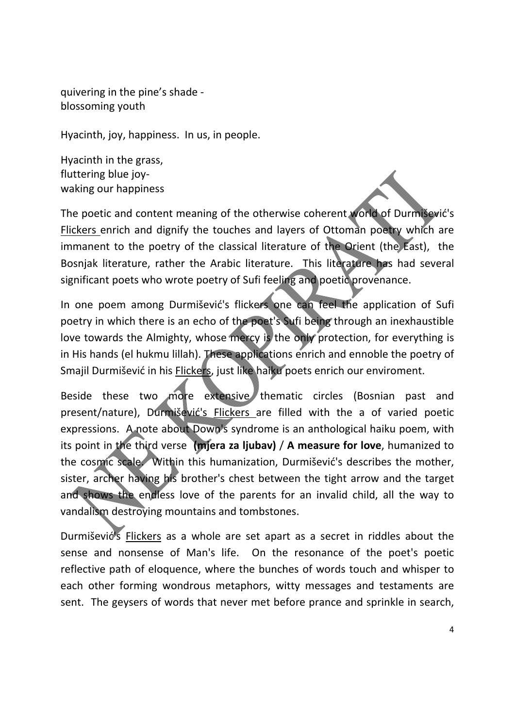quivering in the pine's shade ‐ blossoming youth

Hyacinth, joy, happiness. In us, in people.

Hyacinth in the grass, fluttering blue joy‐ waking our happiness

The poetic and content meaning of the otherwise coherent world of Durmišević's Flickers enrich and dignify the touches and layers of Ottoman poetry which are immanent to the poetry of the classical literature of the Orient (the East), the Bosnjak literature, rather the Arabic literature. This literature has had several significant poets who wrote poetry of Sufi feeling and poetic provenance.

In one poem among Durmišević's flickers one can feel the application of Sufi poetry in which there is an echo of the poet's Sufi being through an inexhaustible love towards the Almighty, whose mercy is the only protection, for everything is in His hands (el hukmu lillah). These applications enrich and ennoble the poetry of Smajil Durmišević in his Flickers, just like haiku poets enrich our enviroment.

Beside these two more extensive thematic circles (Bosnian past and present/nature), Durmišević's Flickers are filled with the a of varied poetic expressions. A note about Down's syndrome is an anthological haiku poem, with its point in the third verse **(mjera za ljubav)** / **A measure for love**, humanized to the cosmic scale. Within this humanization, Durmišević's describes the mother, sister, archer having his brother's chest between the tight arrow and the target and shows the endless love of the parents for an invalid child, all the way to vandalism destroying mountains and tombstones.

Durmišević's Flickers as a whole are set apart as a secret in riddles about the sense and nonsense of Man's life. On the resonance of the poet's poetic reflective path of eloquence, where the bunches of words touch and whisper to each other forming wondrous metaphors, witty messages and testaments are sent. The geysers of words that never met before prance and sprinkle in search,